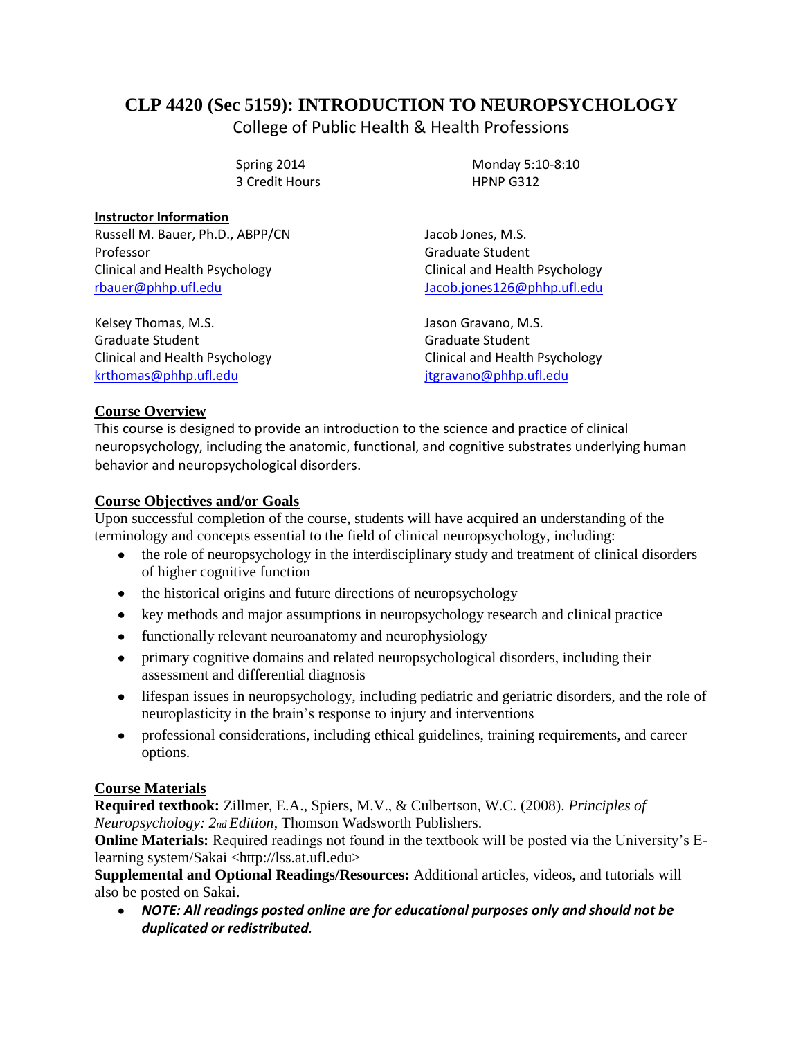# **CLP 4420 (Sec 5159): INTRODUCTION TO NEUROPSYCHOLOGY**

College of Public Health & Health Professions

3 Credit Hours HPNP G312

Spring 2014 Monday 5:10-8:10

**Instructor Information** Russell M. Bauer, Ph.D., ABPP/CN Jacob Jones, M.S. Professor **Graduate Student** Clinical and Health Psychology Clinical and Health Psychology

Kelsey Thomas, M.S. **Jason Gravano, M.S.** Jason Gravano, M.S. Graduate Student Graduate Student Clinical and Health Psychology Clinical and Health Psychology [krthomas@phhp.ufl.edu](mailto:krthomas@phhp.ufl.edu) in the interval itgravano@phhp.ufl.edu

[rbauer@phhp.ufl.edu](mailto:rbauer@phhp.ufl.edu) [Jacob.jones126@phhp.ufl.edu](mailto:Jacob.jones126@phhp.ufl.edu)

## **Course Overview**

This course is designed to provide an introduction to the science and practice of clinical neuropsychology, including the anatomic, functional, and cognitive substrates underlying human behavior and neuropsychological disorders.

## **Course Objectives and/or Goals**

Upon successful completion of the course, students will have acquired an understanding of the terminology and concepts essential to the field of clinical neuropsychology, including:

- $\bullet$ the role of neuropsychology in the interdisciplinary study and treatment of clinical disorders of higher cognitive function
- the historical origins and future directions of neuropsychology
- key methods and major assumptions in neuropsychology research and clinical practice
- functionally relevant neuroanatomy and neurophysiology
- primary cognitive domains and related neuropsychological disorders, including their assessment and differential diagnosis
- lifespan issues in neuropsychology, including pediatric and geriatric disorders, and the role of neuroplasticity in the brain's response to injury and interventions
- professional considerations, including ethical guidelines, training requirements, and career options.

# **Course Materials**

**Required textbook:** Zillmer, E.A., Spiers, M.V., & Culbertson, W.C. (2008). *Principles of Neuropsychology: 2nd Edition*, Thomson Wadsworth Publishers.

**Online Materials:** Required readings not found in the textbook will be posted via the University's Elearning system/Sakai <http://lss.at.ufl.edu>

**Supplemental and Optional Readings/Resources:** Additional articles, videos, and tutorials will also be posted on Sakai.

*NOTE: All readings posted online are for educational purposes only and should not be duplicated or redistributed.*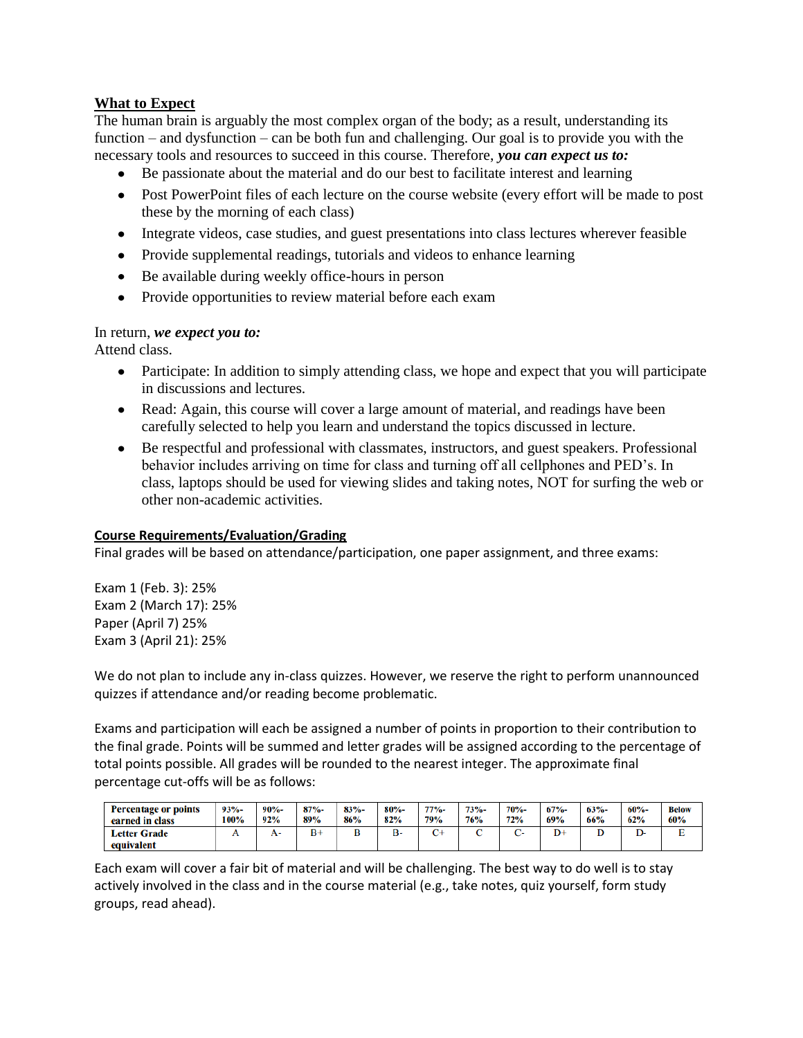### **What to Expect**

The human brain is arguably the most complex organ of the body; as a result, understanding its function – and dysfunction – can be both fun and challenging. Our goal is to provide you with the necessary tools and resources to succeed in this course. Therefore, *you can expect us to:* 

- Be passionate about the material and do our best to facilitate interest and learning
- Post PowerPoint files of each lecture on the course website (every effort will be made to post these by the morning of each class)
- Integrate videos, case studies, and guest presentations into class lectures wherever feasible
- Provide supplemental readings, tutorials and videos to enhance learning
- Be available during weekly office-hours in person
- Provide opportunities to review material before each exam

#### In return, *we expect you to:*

Attend class.

- Participate: In addition to simply attending class, we hope and expect that you will participate in discussions and lectures.
- Read: Again, this course will cover a large amount of material, and readings have been carefully selected to help you learn and understand the topics discussed in lecture.
- Be respectful and professional with classmates, instructors, and guest speakers. Professional behavior includes arriving on time for class and turning off all cellphones and PED's. In class, laptops should be used for viewing slides and taking notes, NOT for surfing the web or other non-academic activities.

#### **Course Requirements/Evaluation/Grading**

Final grades will be based on attendance/participation, one paper assignment, and three exams:

Exam 1 (Feb. 3): 25% Exam 2 (March 17): 25% Paper (April 7) 25% Exam 3 (April 21): 25%

We do not plan to include any in-class quizzes. However, we reserve the right to perform unannounced quizzes if attendance and/or reading become problematic.

Exams and participation will each be assigned a number of points in proportion to their contribution to the final grade. Points will be summed and letter grades will be assigned according to the percentage of total points possible. All grades will be rounded to the nearest integer. The approximate final percentage cut-offs will be as follows:

| <b>Percentage or points</b>       | $93% -$ | $90% -$ | $87% -$ | $83% -$ | $80% -$ | $77% -$ | $73% -$    | <b>70%-</b> | 67% | $63% -$ | $60% -$ | <b>Below</b> |
|-----------------------------------|---------|---------|---------|---------|---------|---------|------------|-------------|-----|---------|---------|--------------|
| earned in class                   | 100%    | 92%     | 89%     | 86%     | 82%     | 79%     | <b>76%</b> | 72%         | 69% | 66%     | 62%     | 60%          |
| <b>Letter Grade</b><br>equivalent |         | А-      | $B+$    |         | B٠      |         |            |             | D+  |         |         | . .          |

Each exam will cover a fair bit of material and will be challenging. The best way to do well is to stay actively involved in the class and in the course material (e.g., take notes, quiz yourself, form study groups, read ahead).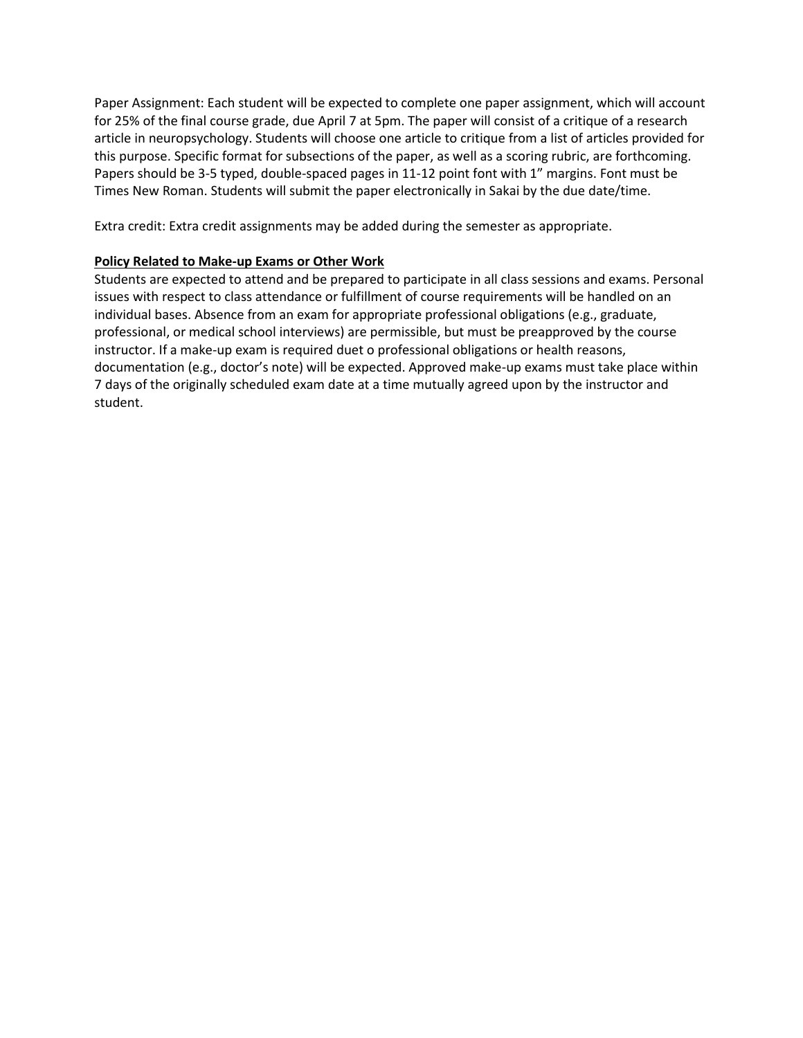Paper Assignment: Each student will be expected to complete one paper assignment, which will account for 25% of the final course grade, due April 7 at 5pm. The paper will consist of a critique of a research article in neuropsychology. Students will choose one article to critique from a list of articles provided for this purpose. Specific format for subsections of the paper, as well as a scoring rubric, are forthcoming. Papers should be 3-5 typed, double-spaced pages in 11-12 point font with 1" margins. Font must be Times New Roman. Students will submit the paper electronically in Sakai by the due date/time.

Extra credit: Extra credit assignments may be added during the semester as appropriate.

#### **Policy Related to Make-up Exams or Other Work**

Students are expected to attend and be prepared to participate in all class sessions and exams. Personal issues with respect to class attendance or fulfillment of course requirements will be handled on an individual bases. Absence from an exam for appropriate professional obligations (e.g., graduate, professional, or medical school interviews) are permissible, but must be preapproved by the course instructor. If a make-up exam is required duet o professional obligations or health reasons, documentation (e.g., doctor's note) will be expected. Approved make-up exams must take place within 7 days of the originally scheduled exam date at a time mutually agreed upon by the instructor and student.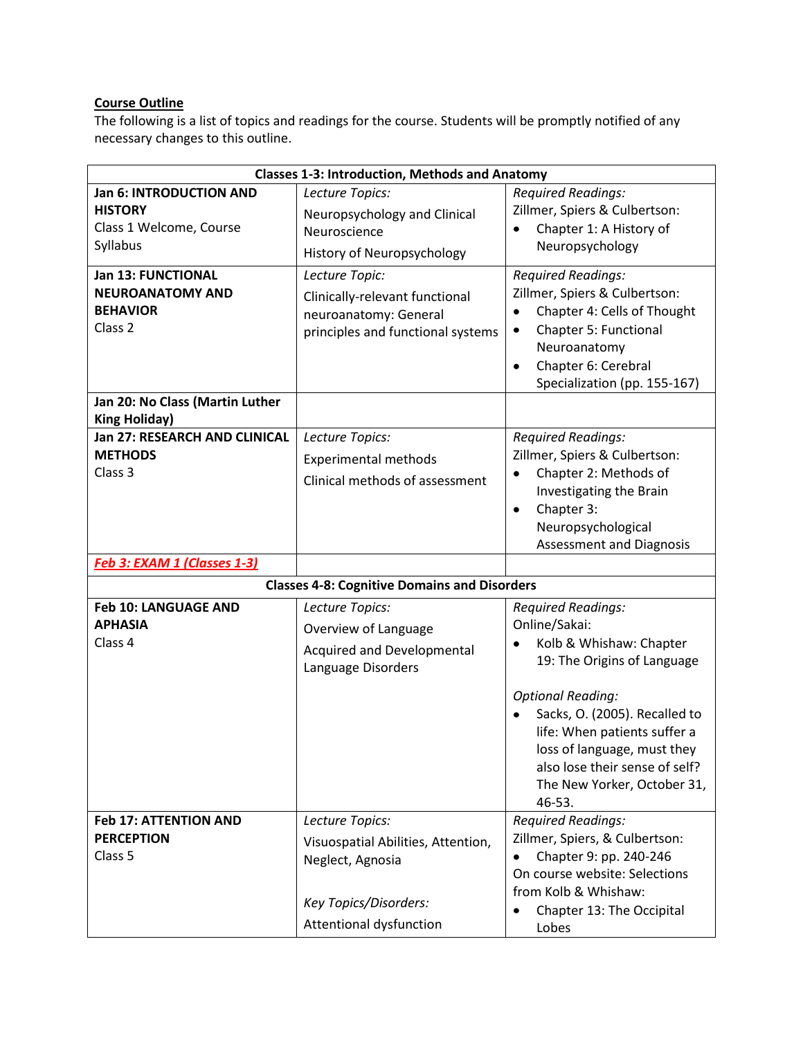# **Course Outline**

The following is a list of topics and readings for the course. Students will be promptly notified of any necessary changes to this outline.

| <b>Classes 1-3: Introduction, Methods and Anatomy</b>                                                             |                                                                                                                               |                                                                                                                                                                                                                          |  |  |  |
|-------------------------------------------------------------------------------------------------------------------|-------------------------------------------------------------------------------------------------------------------------------|--------------------------------------------------------------------------------------------------------------------------------------------------------------------------------------------------------------------------|--|--|--|
| Jan 6: INTRODUCTION AND<br><b>HISTORY</b><br>Class 1 Welcome, Course<br>Syllabus                                  | Lecture Topics:<br>Neuropsychology and Clinical<br>Neuroscience<br>History of Neuropsychology                                 | <b>Required Readings:</b><br>Zillmer, Spiers & Culbertson:<br>Chapter 1: A History of<br>Neuropsychology                                                                                                                 |  |  |  |
| Jan 13: FUNCTIONAL<br><b>NEUROANATOMY AND</b><br><b>BEHAVIOR</b><br>Class <sub>2</sub>                            | Lecture Topic:<br>Clinically-relevant functional<br>neuroanatomy: General<br>principles and functional systems                | <b>Required Readings:</b><br>Zillmer, Spiers & Culbertson:<br>Chapter 4: Cells of Thought<br>$\bullet$<br>Chapter 5: Functional<br>٠<br>Neuroanatomy<br>Chapter 6: Cerebral<br>$\bullet$<br>Specialization (pp. 155-167) |  |  |  |
| Jan 20: No Class (Martin Luther<br><b>King Holiday)</b><br><b>Jan 27: RESEARCH AND CLINICAL</b><br><b>METHODS</b> | Lecture Topics:<br><b>Experimental methods</b>                                                                                | <b>Required Readings:</b><br>Zillmer, Spiers & Culbertson:                                                                                                                                                               |  |  |  |
| Class 3                                                                                                           | Clinical methods of assessment                                                                                                | Chapter 2: Methods of<br>Investigating the Brain<br>Chapter 3:<br>٠<br>Neuropsychological<br>Assessment and Diagnosis                                                                                                    |  |  |  |
| Feb 3: EXAM 1 (Classes 1-3)                                                                                       |                                                                                                                               |                                                                                                                                                                                                                          |  |  |  |
|                                                                                                                   | <b>Classes 4-8: Cognitive Domains and Disorders</b>                                                                           |                                                                                                                                                                                                                          |  |  |  |
| Feb 10: LANGUAGE AND<br><b>APHASIA</b><br>Class 4                                                                 | Lecture Topics:<br>Overview of Language<br>Acquired and Developmental<br>Language Disorders                                   | <b>Required Readings:</b><br>Online/Sakai:<br>Kolb & Whishaw: Chapter<br>19: The Origins of Language                                                                                                                     |  |  |  |
|                                                                                                                   |                                                                                                                               | <b>Optional Reading:</b><br>Sacks, O. (2005). Recalled to<br>life: When patients suffer a<br>loss of language, must they<br>also lose their sense of self?<br>The New Yorker, October 31,<br>46-53.                      |  |  |  |
| <b>Feb 17: ATTENTION AND</b><br><b>PERCEPTION</b><br>Class 5                                                      | Lecture Topics:<br>Visuospatial Abilities, Attention,<br>Neglect, Agnosia<br>Key Topics/Disorders:<br>Attentional dysfunction | <b>Required Readings:</b><br>Zillmer, Spiers, & Culbertson:<br>Chapter 9: pp. 240-246<br>On course website: Selections<br>from Kolb & Whishaw:<br>Chapter 13: The Occipital<br>Lobes                                     |  |  |  |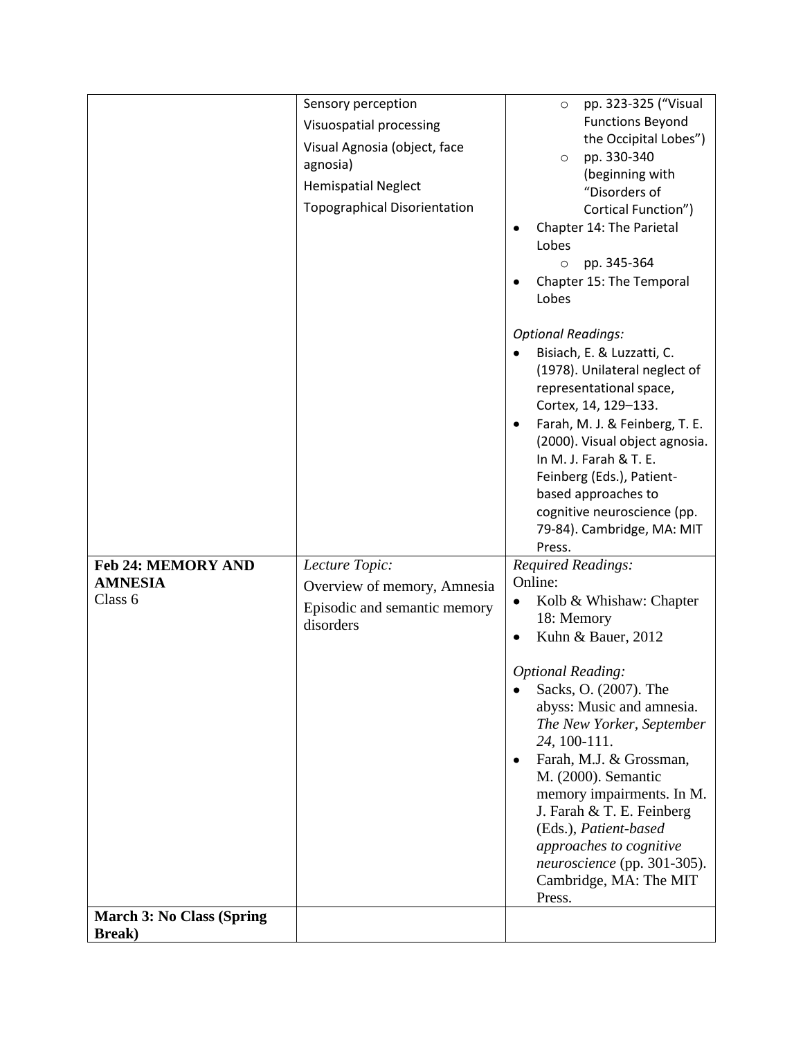|                                  | Sensory perception                  | pp. 323-325 ("Visual<br>$\circ$                       |
|----------------------------------|-------------------------------------|-------------------------------------------------------|
|                                  | Visuospatial processing             | <b>Functions Beyond</b>                               |
|                                  | Visual Agnosia (object, face        | the Occipital Lobes")                                 |
|                                  | agnosia)                            | pp. 330-340<br>$\circ$<br>(beginning with             |
|                                  | <b>Hemispatial Neglect</b>          | "Disorders of                                         |
|                                  | <b>Topographical Disorientation</b> | Cortical Function")                                   |
|                                  |                                     | Chapter 14: The Parietal                              |
|                                  |                                     | Lobes                                                 |
|                                  |                                     | pp. 345-364<br>$\circ$                                |
|                                  |                                     | Chapter 15: The Temporal                              |
|                                  |                                     | Lobes                                                 |
|                                  |                                     | <b>Optional Readings:</b>                             |
|                                  |                                     | Bisiach, E. & Luzzatti, C.                            |
|                                  |                                     | (1978). Unilateral neglect of                         |
|                                  |                                     | representational space,<br>Cortex, 14, 129-133.       |
|                                  |                                     | Farah, M. J. & Feinberg, T. E.                        |
|                                  |                                     | (2000). Visual object agnosia.                        |
|                                  |                                     | In M. J. Farah & T. E.                                |
|                                  |                                     | Feinberg (Eds.), Patient-                             |
|                                  |                                     | based approaches to                                   |
|                                  |                                     | cognitive neuroscience (pp.                           |
|                                  |                                     | 79-84). Cambridge, MA: MIT<br>Press.                  |
| <b>Feb 24: MEMORY AND</b>        | Lecture Topic:                      | Required Readings:                                    |
| <b>AMNESIA</b>                   | Overview of memory, Amnesia         | Online:                                               |
| Class 6                          | Episodic and semantic memory        | Kolb & Whishaw: Chapter                               |
|                                  | disorders                           | 18: Memory                                            |
|                                  |                                     | Kuhn & Bauer, 2012<br>$\bullet$                       |
|                                  |                                     | <b>Optional Reading:</b>                              |
|                                  |                                     | Sacks, O. (2007). The                                 |
|                                  |                                     | abyss: Music and amnesia.                             |
|                                  |                                     | The New Yorker, September                             |
|                                  |                                     | 24, 100-111.<br>Farah, M.J. & Grossman,               |
|                                  |                                     | M. (2000). Semantic                                   |
|                                  |                                     | memory impairments. In M.                             |
|                                  |                                     | J. Farah & T. E. Feinberg                             |
|                                  |                                     | (Eds.), Patient-based                                 |
|                                  |                                     | approaches to cognitive                               |
|                                  |                                     | neuroscience (pp. 301-305).<br>Cambridge, MA: The MIT |
|                                  |                                     |                                                       |
|                                  |                                     | Press.                                                |
| <b>March 3: No Class (Spring</b> |                                     |                                                       |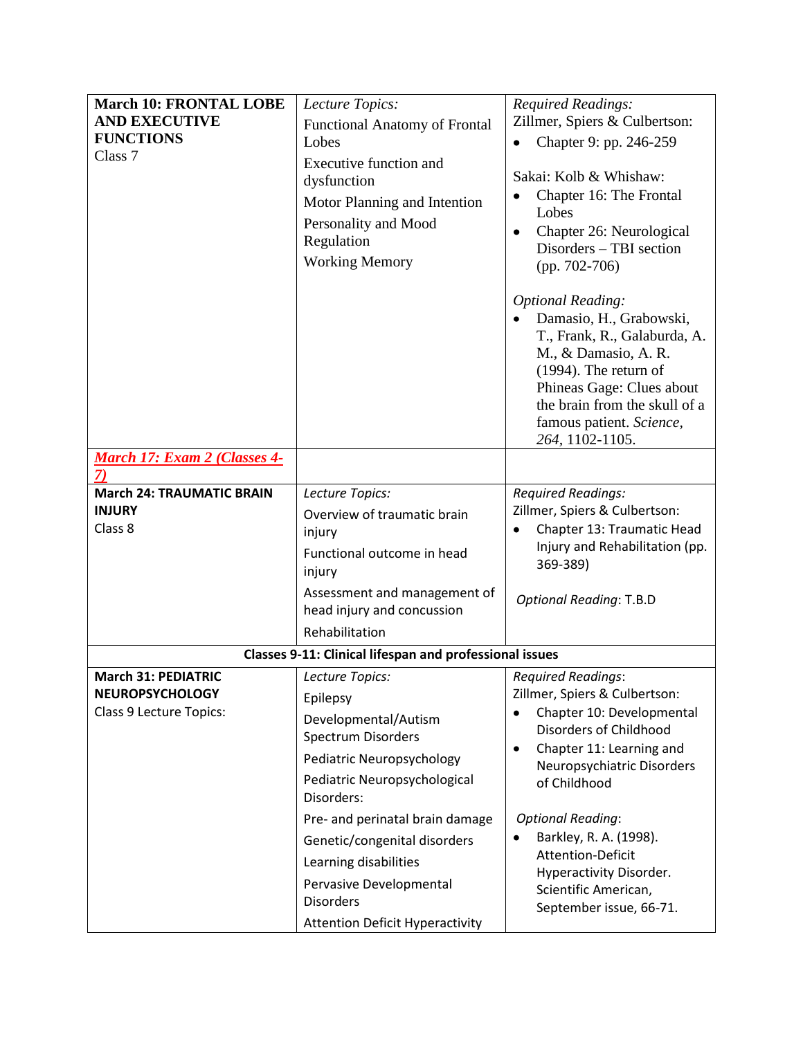| <b>March 10: FRONTAL LOBE</b>    |                                                                                                                                      |                                                                                                                                                                                                                                                                                                                                                                                                          |  |  |
|----------------------------------|--------------------------------------------------------------------------------------------------------------------------------------|----------------------------------------------------------------------------------------------------------------------------------------------------------------------------------------------------------------------------------------------------------------------------------------------------------------------------------------------------------------------------------------------------------|--|--|
|                                  | Lecture Topics:                                                                                                                      | Required Readings:<br>Zillmer, Spiers & Culbertson:                                                                                                                                                                                                                                                                                                                                                      |  |  |
| <b>AND EXECUTIVE</b>             | <b>Functional Anatomy of Frontal</b>                                                                                                 |                                                                                                                                                                                                                                                                                                                                                                                                          |  |  |
| <b>FUNCTIONS</b>                 | Lobes                                                                                                                                | Chapter 9: pp. 246-259                                                                                                                                                                                                                                                                                                                                                                                   |  |  |
| Class <sub>7</sub>               | Executive function and<br>dysfunction<br>Motor Planning and Intention<br>Personality and Mood<br>Regulation<br><b>Working Memory</b> | Sakai: Kolb & Whishaw:<br>Chapter 16: The Frontal<br>Lobes<br>Chapter 26: Neurological<br>$\bullet$<br>Disorders - TBI section<br>$(pp. 702-706)$<br><b>Optional Reading:</b><br>Damasio, H., Grabowski,<br>T., Frank, R., Galaburda, A.<br>M., & Damasio, A.R.<br>$(1994)$ . The return of<br>Phineas Gage: Clues about<br>the brain from the skull of a<br>famous patient. Science,<br>264, 1102-1105. |  |  |
| March 17: Exam 2 (Classes 4-     |                                                                                                                                      |                                                                                                                                                                                                                                                                                                                                                                                                          |  |  |
|                                  |                                                                                                                                      |                                                                                                                                                                                                                                                                                                                                                                                                          |  |  |
| <b>March 24: TRAUMATIC BRAIN</b> | Lecture Topics:                                                                                                                      | <b>Required Readings:</b>                                                                                                                                                                                                                                                                                                                                                                                |  |  |
| <b>INJURY</b>                    | Overview of traumatic brain                                                                                                          | Zillmer, Spiers & Culbertson:                                                                                                                                                                                                                                                                                                                                                                            |  |  |
| Class 8                          | injury                                                                                                                               | Chapter 13: Traumatic Head<br>$\bullet$                                                                                                                                                                                                                                                                                                                                                                  |  |  |
|                                  | Functional outcome in head<br>injury                                                                                                 | Injury and Rehabilitation (pp.<br>369-389)                                                                                                                                                                                                                                                                                                                                                               |  |  |
|                                  | Assessment and management of<br>head injury and concussion                                                                           | <b>Optional Reading: T.B.D</b>                                                                                                                                                                                                                                                                                                                                                                           |  |  |
|                                  | Rehabilitation                                                                                                                       |                                                                                                                                                                                                                                                                                                                                                                                                          |  |  |
|                                  | <b>Classes 9-11: Clinical lifespan and professional issues</b>                                                                       |                                                                                                                                                                                                                                                                                                                                                                                                          |  |  |
| <b>March 31: PEDIATRIC</b>       | Lecture Topics:                                                                                                                      | <b>Required Readings:</b>                                                                                                                                                                                                                                                                                                                                                                                |  |  |
| <b>NEUROPSYCHOLOGY</b>           | Epilepsy                                                                                                                             | Zillmer, Spiers & Culbertson:                                                                                                                                                                                                                                                                                                                                                                            |  |  |
| Class 9 Lecture Topics:          | Developmental/Autism<br>Spectrum Disorders                                                                                           | Chapter 10: Developmental<br>Disorders of Childhood                                                                                                                                                                                                                                                                                                                                                      |  |  |
|                                  | Pediatric Neuropsychology                                                                                                            | Chapter 11: Learning and<br>$\bullet$                                                                                                                                                                                                                                                                                                                                                                    |  |  |
|                                  | Pediatric Neuropsychological                                                                                                         | Neuropsychiatric Disorders                                                                                                                                                                                                                                                                                                                                                                               |  |  |
|                                  | Disorders:                                                                                                                           | of Childhood                                                                                                                                                                                                                                                                                                                                                                                             |  |  |
|                                  | Pre- and perinatal brain damage                                                                                                      | <b>Optional Reading:</b>                                                                                                                                                                                                                                                                                                                                                                                 |  |  |
|                                  | Genetic/congenital disorders                                                                                                         | Barkley, R. A. (1998).                                                                                                                                                                                                                                                                                                                                                                                   |  |  |
|                                  | Learning disabilities                                                                                                                | Attention-Deficit<br>Hyperactivity Disorder.                                                                                                                                                                                                                                                                                                                                                             |  |  |
|                                  | Pervasive Developmental                                                                                                              | Scientific American,                                                                                                                                                                                                                                                                                                                                                                                     |  |  |
|                                  | <b>Disorders</b>                                                                                                                     | September issue, 66-71.                                                                                                                                                                                                                                                                                                                                                                                  |  |  |
|                                  | <b>Attention Deficit Hyperactivity</b>                                                                                               |                                                                                                                                                                                                                                                                                                                                                                                                          |  |  |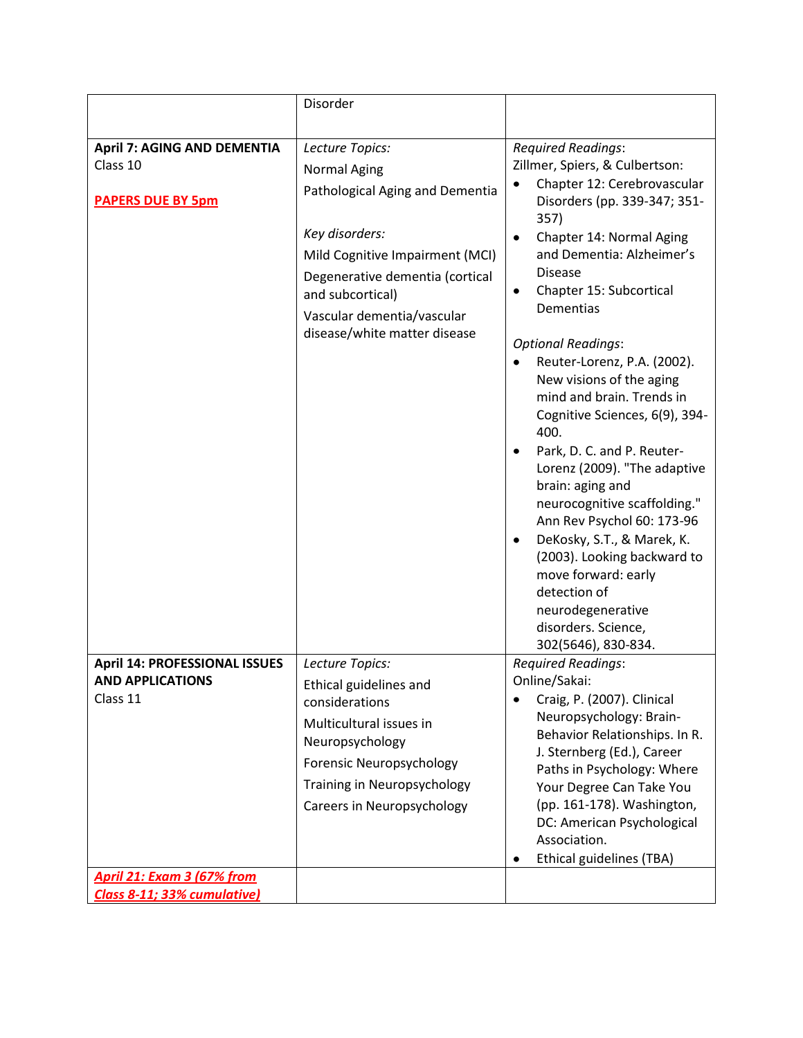|                                      | Disorder                                                                                                                                                                                  |                                                                                                                                                                                                                                                                                                                                                                                                                                                                                                                                                                                                                                                                                                            |
|--------------------------------------|-------------------------------------------------------------------------------------------------------------------------------------------------------------------------------------------|------------------------------------------------------------------------------------------------------------------------------------------------------------------------------------------------------------------------------------------------------------------------------------------------------------------------------------------------------------------------------------------------------------------------------------------------------------------------------------------------------------------------------------------------------------------------------------------------------------------------------------------------------------------------------------------------------------|
|                                      |                                                                                                                                                                                           |                                                                                                                                                                                                                                                                                                                                                                                                                                                                                                                                                                                                                                                                                                            |
| <b>April 7: AGING AND DEMENTIA</b>   | Lecture Topics:                                                                                                                                                                           | <b>Required Readings:</b>                                                                                                                                                                                                                                                                                                                                                                                                                                                                                                                                                                                                                                                                                  |
| Class 10                             | <b>Normal Aging</b>                                                                                                                                                                       | Zillmer, Spiers, & Culbertson:                                                                                                                                                                                                                                                                                                                                                                                                                                                                                                                                                                                                                                                                             |
| <b>PAPERS DUE BY 5pm</b>             | Pathological Aging and Dementia                                                                                                                                                           | Chapter 12: Cerebrovascular<br>Disorders (pp. 339-347; 351-                                                                                                                                                                                                                                                                                                                                                                                                                                                                                                                                                                                                                                                |
| <b>April 14: PROFESSIONAL ISSUES</b> | Key disorders:<br>Mild Cognitive Impairment (MCI)<br>Degenerative dementia (cortical<br>and subcortical)<br>Vascular dementia/vascular<br>disease/white matter disease<br>Lecture Topics: | 357)<br>Chapter 14: Normal Aging<br>$\bullet$<br>and Dementia: Alzheimer's<br><b>Disease</b><br>Chapter 15: Subcortical<br>$\bullet$<br><b>Dementias</b><br><b>Optional Readings:</b><br>Reuter-Lorenz, P.A. (2002).<br>$\bullet$<br>New visions of the aging<br>mind and brain. Trends in<br>Cognitive Sciences, 6(9), 394-<br>400.<br>Park, D. C. and P. Reuter-<br>$\bullet$<br>Lorenz (2009). "The adaptive<br>brain: aging and<br>neurocognitive scaffolding."<br>Ann Rev Psychol 60: 173-96<br>DeKosky, S.T., & Marek, K.<br>٠<br>(2003). Looking backward to<br>move forward: early<br>detection of<br>neurodegenerative<br>disorders. Science,<br>302(5646), 830-834.<br><b>Required Readings:</b> |
| <b>AND APPLICATIONS</b>              | Ethical guidelines and                                                                                                                                                                    | Online/Sakai:                                                                                                                                                                                                                                                                                                                                                                                                                                                                                                                                                                                                                                                                                              |
| Class 11                             | considerations                                                                                                                                                                            | Craig, P. (2007). Clinical<br>٠                                                                                                                                                                                                                                                                                                                                                                                                                                                                                                                                                                                                                                                                            |
| <b>April 21: Exam 3 (67% from</b>    | Multicultural issues in<br>Neuropsychology<br>Forensic Neuropsychology<br>Training in Neuropsychology<br>Careers in Neuropsychology                                                       | Neuropsychology: Brain-<br>Behavior Relationships. In R.<br>J. Sternberg (Ed.), Career<br>Paths in Psychology: Where<br>Your Degree Can Take You<br>(pp. 161-178). Washington,<br>DC: American Psychological<br>Association.<br>Ethical guidelines (TBA)<br>$\bullet$                                                                                                                                                                                                                                                                                                                                                                                                                                      |
| Class 8-11; 33% cumulative)          |                                                                                                                                                                                           |                                                                                                                                                                                                                                                                                                                                                                                                                                                                                                                                                                                                                                                                                                            |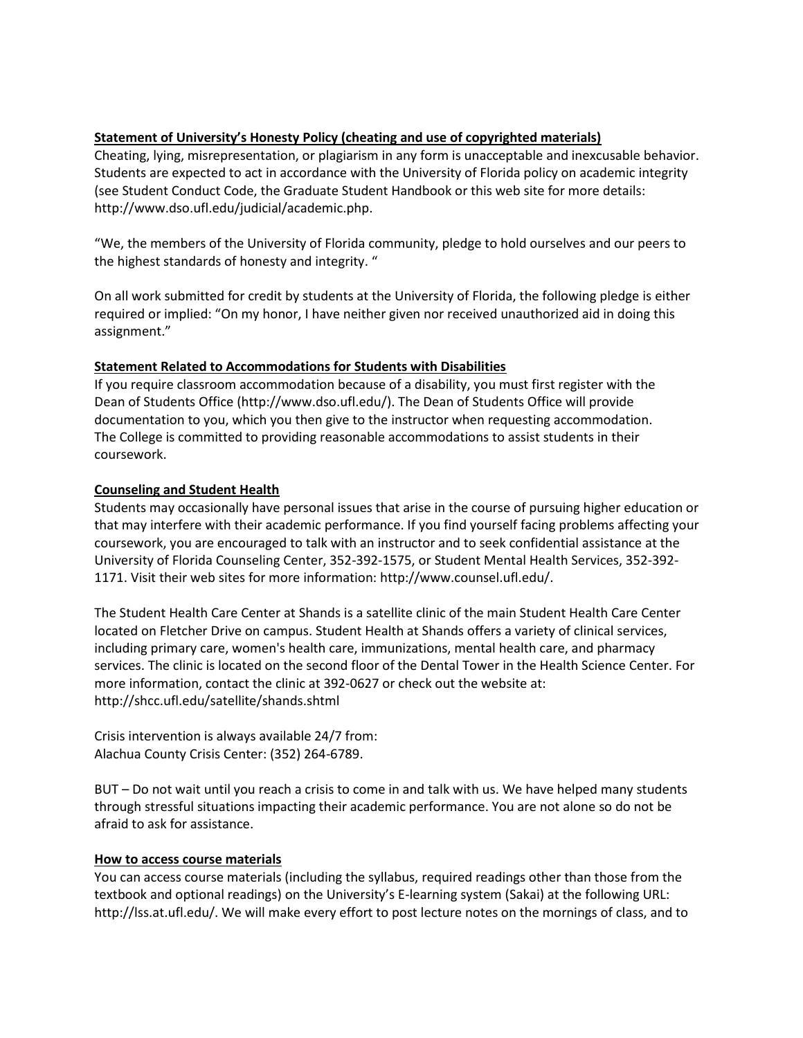#### **Statement of University's Honesty Policy (cheating and use of copyrighted materials)**

Cheating, lying, misrepresentation, or plagiarism in any form is unacceptable and inexcusable behavior. Students are expected to act in accordance with the University of Florida policy on academic integrity (see Student Conduct Code, the Graduate Student Handbook or this web site for more details: http://www.dso.ufl.edu/judicial/academic.php.

"We, the members of the University of Florida community, pledge to hold ourselves and our peers to the highest standards of honesty and integrity. "

On all work submitted for credit by students at the University of Florida, the following pledge is either required or implied: "On my honor, I have neither given nor received unauthorized aid in doing this assignment."

#### **Statement Related to Accommodations for Students with Disabilities**

If you require classroom accommodation because of a disability, you must first register with the Dean of Students Office (http://www.dso.ufl.edu/). The Dean of Students Office will provide documentation to you, which you then give to the instructor when requesting accommodation. The College is committed to providing reasonable accommodations to assist students in their coursework.

#### **Counseling and Student Health**

Students may occasionally have personal issues that arise in the course of pursuing higher education or that may interfere with their academic performance. If you find yourself facing problems affecting your coursework, you are encouraged to talk with an instructor and to seek confidential assistance at the University of Florida Counseling Center, 352-392-1575, or Student Mental Health Services, 352-392- 1171. Visit their web sites for more information: http://www.counsel.ufl.edu/.

The Student Health Care Center at Shands is a satellite clinic of the main Student Health Care Center located on Fletcher Drive on campus. Student Health at Shands offers a variety of clinical services, including primary care, women's health care, immunizations, mental health care, and pharmacy services. The clinic is located on the second floor of the Dental Tower in the Health Science Center. For more information, contact the clinic at 392-0627 or check out the website at: http://shcc.ufl.edu/satellite/shands.shtml

Crisis intervention is always available 24/7 from: Alachua County Crisis Center: (352) 264-6789.

BUT – Do not wait until you reach a crisis to come in and talk with us. We have helped many students through stressful situations impacting their academic performance. You are not alone so do not be afraid to ask for assistance.

#### **How to access course materials**

You can access course materials (including the syllabus, required readings other than those from the textbook and optional readings) on the University's E-learning system (Sakai) at the following URL: http://lss.at.ufl.edu/. We will make every effort to post lecture notes on the mornings of class, and to